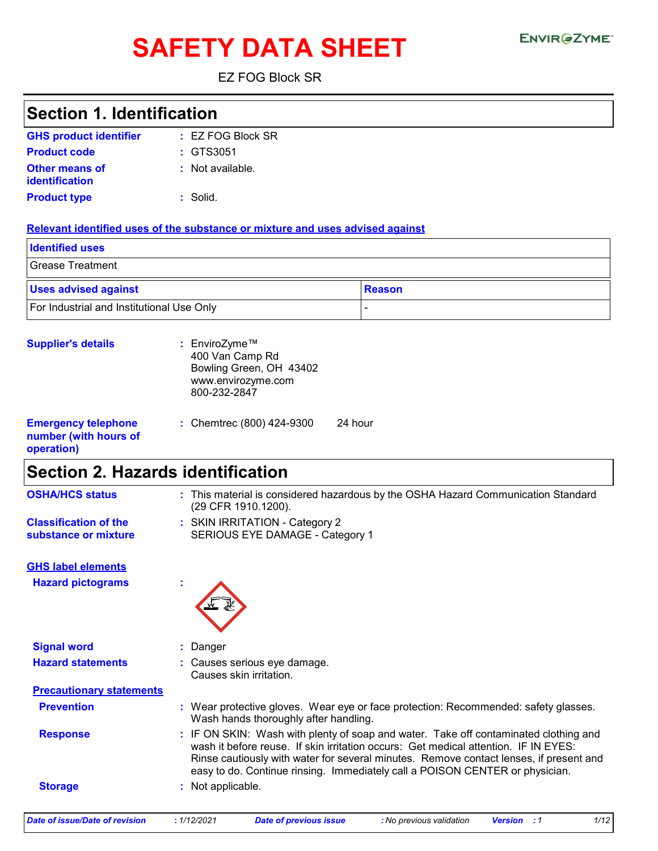# SAFETY DATA SHEET ENVIRGETMEN

EZ FOG Block SR

| <b>Section 1. Identification</b>          |                                                                                                                                                                                                                                                               |  |
|-------------------------------------------|---------------------------------------------------------------------------------------------------------------------------------------------------------------------------------------------------------------------------------------------------------------|--|
| <b>GHS product identifier</b>             | : EZ FOG Block SR                                                                                                                                                                                                                                             |  |
| <b>Product code</b>                       | GTS3051                                                                                                                                                                                                                                                       |  |
| <b>Other means of</b>                     | : Not available.                                                                                                                                                                                                                                              |  |
| <b>identification</b>                     |                                                                                                                                                                                                                                                               |  |
| <b>Product type</b>                       | : Solid.                                                                                                                                                                                                                                                      |  |
|                                           | Relevant identified uses of the substance or mixture and uses advised against                                                                                                                                                                                 |  |
| <b>Identified uses</b>                    |                                                                                                                                                                                                                                                               |  |
| <b>Grease Treatment</b>                   |                                                                                                                                                                                                                                                               |  |
| <b>Uses advised against</b>               | <b>Reason</b>                                                                                                                                                                                                                                                 |  |
| For Industrial and Institutional Use Only |                                                                                                                                                                                                                                                               |  |
|                                           |                                                                                                                                                                                                                                                               |  |
| <b>Supplier's details</b>                 | : EnviroZyme™                                                                                                                                                                                                                                                 |  |
|                                           | 400 Van Camp Rd                                                                                                                                                                                                                                               |  |
|                                           | Bowling Green, OH 43402                                                                                                                                                                                                                                       |  |
|                                           | www.envirozyme.com<br>800-232-2847                                                                                                                                                                                                                            |  |
|                                           |                                                                                                                                                                                                                                                               |  |
| <b>Emergency telephone</b>                | 24 hour<br>: Chemtrec (800) 424-9300                                                                                                                                                                                                                          |  |
| number (with hours of                     |                                                                                                                                                                                                                                                               |  |
| operation)                                |                                                                                                                                                                                                                                                               |  |
|                                           | <b>Section 2. Hazards identification</b>                                                                                                                                                                                                                      |  |
| <b>OSHA/HCS status</b>                    | : This material is considered hazardous by the OSHA Hazard Communication Standard<br>(29 CFR 1910.1200).                                                                                                                                                      |  |
| <b>Classification of the</b>              | : SKIN IRRITATION - Category 2                                                                                                                                                                                                                                |  |
| substance or mixture                      | SERIOUS EYE DAMAGE - Category 1                                                                                                                                                                                                                               |  |
|                                           |                                                                                                                                                                                                                                                               |  |
| <b>GHS label elements</b>                 |                                                                                                                                                                                                                                                               |  |
| <b>Hazard pictograms</b>                  |                                                                                                                                                                                                                                                               |  |
|                                           |                                                                                                                                                                                                                                                               |  |
|                                           |                                                                                                                                                                                                                                                               |  |
| <b>Signal word</b>                        | : Danger                                                                                                                                                                                                                                                      |  |
| <b>Hazard statements</b>                  | : Causes serious eye damage.                                                                                                                                                                                                                                  |  |
|                                           | Causes skin irritation.                                                                                                                                                                                                                                       |  |
| <b>Precautionary statements</b>           |                                                                                                                                                                                                                                                               |  |
| <b>Prevention</b>                         | : Wear protective gloves. Wear eye or face protection: Recommended: safety glasses.<br>Wash hands thoroughly after handling.                                                                                                                                  |  |
| <b>Response</b>                           | : IF ON SKIN: Wash with plenty of soap and water. Take off contaminated clothing and                                                                                                                                                                          |  |
|                                           | wash it before reuse. If skin irritation occurs: Get medical attention. IF IN EYES:<br>Rinse cautiously with water for several minutes. Remove contact lenses, if present and<br>easy to do. Continue rinsing. Immediately call a POISON CENTER or physician. |  |
| <b>Storage</b>                            | : Not applicable.                                                                                                                                                                                                                                             |  |
|                                           |                                                                                                                                                                                                                                                               |  |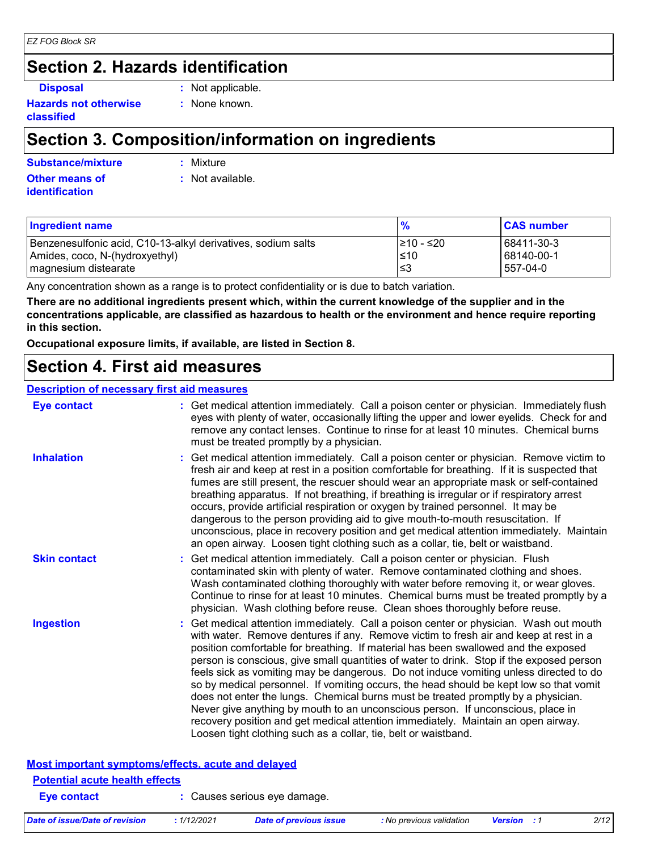#### *EZ FOG Block SR*

### **Section 2. Hazards identification**

**Disposal :** Not applicable.

**Hazards not otherwise classified**

**:** None known.

### **Section 3. Composition/information on ingredients**

**Substance/mixture :**

: Mixture

**Other means of identification**

**:** Not available.

| <b>Ingredient name</b>                                       | $\frac{9}{6}$ | <b>CAS number</b> |
|--------------------------------------------------------------|---------------|-------------------|
| Benzenesulfonic acid, C10-13-alkyl derivatives, sodium salts | I≥10 - ≤20    | 68411-30-3        |
| Amides, coco, N-(hydroxyethyl)                               | $\leq 10$     | 68140-00-1        |
| magnesium distearate                                         | l≤3           | 557-04-0          |

Any concentration shown as a range is to protect confidentiality or is due to batch variation.

**There are no additional ingredients present which, within the current knowledge of the supplier and in the concentrations applicable, are classified as hazardous to health or the environment and hence require reporting in this section.**

**Occupational exposure limits, if available, are listed in Section 8.**

### **Section 4. First aid measures**

### **Description of necessary first aid measures**

| <b>Eye contact</b>  | : Get medical attention immediately. Call a poison center or physician. Immediately flush<br>eyes with plenty of water, occasionally lifting the upper and lower eyelids. Check for and<br>remove any contact lenses. Continue to rinse for at least 10 minutes. Chemical burns<br>must be treated promptly by a physician.                                                                                                                                                                                                                                                                                                                                                                                                                                                                                                                                                         |
|---------------------|-------------------------------------------------------------------------------------------------------------------------------------------------------------------------------------------------------------------------------------------------------------------------------------------------------------------------------------------------------------------------------------------------------------------------------------------------------------------------------------------------------------------------------------------------------------------------------------------------------------------------------------------------------------------------------------------------------------------------------------------------------------------------------------------------------------------------------------------------------------------------------------|
| <b>Inhalation</b>   | : Get medical attention immediately. Call a poison center or physician. Remove victim to<br>fresh air and keep at rest in a position comfortable for breathing. If it is suspected that<br>fumes are still present, the rescuer should wear an appropriate mask or self-contained<br>breathing apparatus. If not breathing, if breathing is irregular or if respiratory arrest<br>occurs, provide artificial respiration or oxygen by trained personnel. It may be<br>dangerous to the person providing aid to give mouth-to-mouth resuscitation. If<br>unconscious, place in recovery position and get medical attention immediately. Maintain<br>an open airway. Loosen tight clothing such as a collar, tie, belt or waistband.                                                                                                                                                  |
| <b>Skin contact</b> | : Get medical attention immediately. Call a poison center or physician. Flush<br>contaminated skin with plenty of water. Remove contaminated clothing and shoes.<br>Wash contaminated clothing thoroughly with water before removing it, or wear gloves.<br>Continue to rinse for at least 10 minutes. Chemical burns must be treated promptly by a<br>physician. Wash clothing before reuse. Clean shoes thoroughly before reuse.                                                                                                                                                                                                                                                                                                                                                                                                                                                  |
| <b>Ingestion</b>    | : Get medical attention immediately. Call a poison center or physician. Wash out mouth<br>with water. Remove dentures if any. Remove victim to fresh air and keep at rest in a<br>position comfortable for breathing. If material has been swallowed and the exposed<br>person is conscious, give small quantities of water to drink. Stop if the exposed person<br>feels sick as vomiting may be dangerous. Do not induce vomiting unless directed to do<br>so by medical personnel. If vomiting occurs, the head should be kept low so that vomit<br>does not enter the lungs. Chemical burns must be treated promptly by a physician.<br>Never give anything by mouth to an unconscious person. If unconscious, place in<br>recovery position and get medical attention immediately. Maintain an open airway.<br>Loosen tight clothing such as a collar, tie, belt or waistband. |

|                                       | <u>Most important symptoms/effects, acute and delayed</u> |  |
|---------------------------------------|-----------------------------------------------------------|--|
| <b>Potential acute health effects</b> |                                                           |  |
| Eye contact                           | : Causes serious eye damage.                              |  |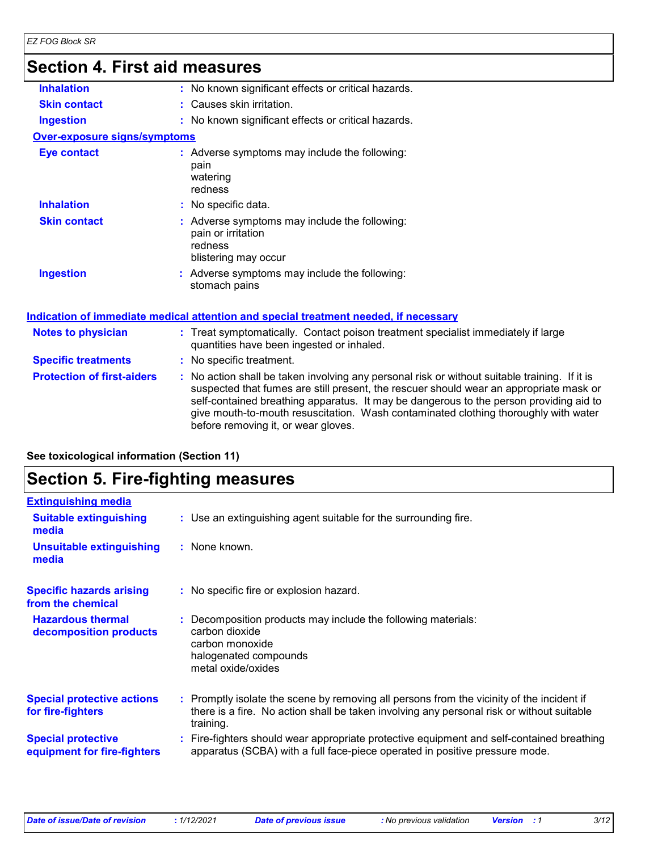### **Section 4. First aid measures**

| 0000011 Ti 1 11 000101 111 000101 00 |                                                                                                                                                                                                                                                                                                                                                                                                                 |
|--------------------------------------|-----------------------------------------------------------------------------------------------------------------------------------------------------------------------------------------------------------------------------------------------------------------------------------------------------------------------------------------------------------------------------------------------------------------|
| <b>Inhalation</b>                    | : No known significant effects or critical hazards.                                                                                                                                                                                                                                                                                                                                                             |
| <b>Skin contact</b>                  | : Causes skin irritation.                                                                                                                                                                                                                                                                                                                                                                                       |
| <b>Ingestion</b>                     | : No known significant effects or critical hazards.                                                                                                                                                                                                                                                                                                                                                             |
| <b>Over-exposure signs/symptoms</b>  |                                                                                                                                                                                                                                                                                                                                                                                                                 |
| <b>Eye contact</b>                   | : Adverse symptoms may include the following:<br>pain<br>watering<br>redness                                                                                                                                                                                                                                                                                                                                    |
| <b>Inhalation</b>                    | : No specific data.                                                                                                                                                                                                                                                                                                                                                                                             |
| <b>Skin contact</b>                  | : Adverse symptoms may include the following:<br>pain or irritation<br>redness<br>blistering may occur                                                                                                                                                                                                                                                                                                          |
| <b>Ingestion</b>                     | : Adverse symptoms may include the following:<br>stomach pains                                                                                                                                                                                                                                                                                                                                                  |
|                                      | Indication of immediate medical attention and special treatment needed, if necessary                                                                                                                                                                                                                                                                                                                            |
| <b>Notes to physician</b>            | : Treat symptomatically. Contact poison treatment specialist immediately if large<br>quantities have been ingested or inhaled.                                                                                                                                                                                                                                                                                  |
| <b>Specific treatments</b>           | : No specific treatment.                                                                                                                                                                                                                                                                                                                                                                                        |
| <b>Protection of first-aiders</b>    | : No action shall be taken involving any personal risk or without suitable training. If it is<br>suspected that fumes are still present, the rescuer should wear an appropriate mask or<br>self-contained breathing apparatus. It may be dangerous to the person providing aid to<br>give mouth-to-mouth resuscitation. Wash contaminated clothing thoroughly with water<br>before removing it, or wear gloves. |
|                                      |                                                                                                                                                                                                                                                                                                                                                                                                                 |

| See toxicological information (Section 11) |  |
|--------------------------------------------|--|
|--------------------------------------------|--|

### **Section 5. Fire-fighting measures**

| <b>Extinguishing media</b><br><b>Suitable extinguishing</b><br>: Use an extinguishing agent suitable for the surrounding fire.<br>media<br>: None known.<br><b>Unsuitable extinguishing</b><br>media<br><b>Specific hazards arising</b><br>: No specific fire or explosion hazard.<br>from the chemical<br><b>Hazardous thermal</b><br>Decomposition products may include the following materials:<br>carbon dioxide<br>decomposition products<br>carbon monoxide<br>halogenated compounds<br>metal oxide/oxides<br><b>Special protective actions</b><br>: Promptly isolate the scene by removing all persons from the vicinity of the incident if<br>for fire-fighters<br>training.<br><b>Special protective</b><br>apparatus (SCBA) with a full face-piece operated in positive pressure mode.<br>equipment for fire-fighters |                                                                                           |
|---------------------------------------------------------------------------------------------------------------------------------------------------------------------------------------------------------------------------------------------------------------------------------------------------------------------------------------------------------------------------------------------------------------------------------------------------------------------------------------------------------------------------------------------------------------------------------------------------------------------------------------------------------------------------------------------------------------------------------------------------------------------------------------------------------------------------------|-------------------------------------------------------------------------------------------|
|                                                                                                                                                                                                                                                                                                                                                                                                                                                                                                                                                                                                                                                                                                                                                                                                                                 |                                                                                           |
|                                                                                                                                                                                                                                                                                                                                                                                                                                                                                                                                                                                                                                                                                                                                                                                                                                 |                                                                                           |
|                                                                                                                                                                                                                                                                                                                                                                                                                                                                                                                                                                                                                                                                                                                                                                                                                                 |                                                                                           |
|                                                                                                                                                                                                                                                                                                                                                                                                                                                                                                                                                                                                                                                                                                                                                                                                                                 |                                                                                           |
|                                                                                                                                                                                                                                                                                                                                                                                                                                                                                                                                                                                                                                                                                                                                                                                                                                 |                                                                                           |
|                                                                                                                                                                                                                                                                                                                                                                                                                                                                                                                                                                                                                                                                                                                                                                                                                                 | there is a fire. No action shall be taken involving any personal risk or without suitable |
|                                                                                                                                                                                                                                                                                                                                                                                                                                                                                                                                                                                                                                                                                                                                                                                                                                 | : Fire-fighters should wear appropriate protective equipment and self-contained breathing |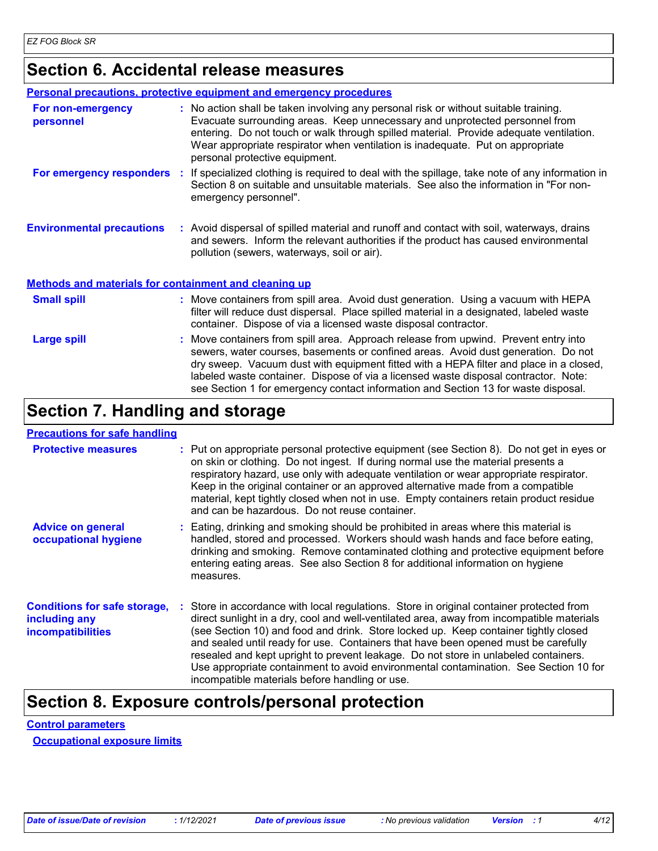### **Section 6. Accidental release measures**

|                                                              |    | <b>Personal precautions, protective equipment and emergency procedures</b>                                                                                                                                                                                                                                                                                                        |
|--------------------------------------------------------------|----|-----------------------------------------------------------------------------------------------------------------------------------------------------------------------------------------------------------------------------------------------------------------------------------------------------------------------------------------------------------------------------------|
| For non-emergency<br>personnel                               |    | : No action shall be taken involving any personal risk or without suitable training.<br>Evacuate surrounding areas. Keep unnecessary and unprotected personnel from<br>entering. Do not touch or walk through spilled material. Provide adequate ventilation.<br>Wear appropriate respirator when ventilation is inadequate. Put on appropriate<br>personal protective equipment. |
| For emergency responders                                     | ÷. | If specialized clothing is required to deal with the spillage, take note of any information in<br>Section 8 on suitable and unsuitable materials. See also the information in "For non-<br>emergency personnel".                                                                                                                                                                  |
| <b>Environmental precautions</b>                             |    | : Avoid dispersal of spilled material and runoff and contact with soil, waterways, drains<br>and sewers. Inform the relevant authorities if the product has caused environmental<br>pollution (sewers, waterways, soil or air).                                                                                                                                                   |
| <b>Methods and materials for containment and cleaning up</b> |    |                                                                                                                                                                                                                                                                                                                                                                                   |
| <b>Small spill</b>                                           |    | : Move containers from spill area. Avoid dust generation. Using a vacuum with HEPA<br>filter will reduce dust dispersal. Place spilled material in a designated, labeled waste                                                                                                                                                                                                    |

|             | container. Dispose of via a licensed waste disposal contractor.                                                                                                                                                                                                                                                                                                                                                                                 |
|-------------|-------------------------------------------------------------------------------------------------------------------------------------------------------------------------------------------------------------------------------------------------------------------------------------------------------------------------------------------------------------------------------------------------------------------------------------------------|
| Large spill | : Move containers from spill area. Approach release from upwind. Prevent entry into<br>sewers, water courses, basements or confined areas. Avoid dust generation. Do not<br>dry sweep. Vacuum dust with equipment fitted with a HEPA filter and place in a closed,<br>labeled waste container. Dispose of via a licensed waste disposal contractor. Note:<br>see Section 1 for emergency contact information and Section 13 for waste disposal. |

### **Section 7. Handling and storage**

### **Precautions for safe handling**

| <b>Protective measures</b>                                                       | : Put on appropriate personal protective equipment (see Section 8). Do not get in eyes or<br>on skin or clothing. Do not ingest. If during normal use the material presents a<br>respiratory hazard, use only with adequate ventilation or wear appropriate respirator.<br>Keep in the original container or an approved alternative made from a compatible<br>material, kept tightly closed when not in use. Empty containers retain product residue<br>and can be hazardous. Do not reuse container.                                                                                            |
|----------------------------------------------------------------------------------|---------------------------------------------------------------------------------------------------------------------------------------------------------------------------------------------------------------------------------------------------------------------------------------------------------------------------------------------------------------------------------------------------------------------------------------------------------------------------------------------------------------------------------------------------------------------------------------------------|
| <b>Advice on general</b><br>occupational hygiene                                 | : Eating, drinking and smoking should be prohibited in areas where this material is<br>handled, stored and processed. Workers should wash hands and face before eating,<br>drinking and smoking. Remove contaminated clothing and protective equipment before<br>entering eating areas. See also Section 8 for additional information on hygiene<br>measures.                                                                                                                                                                                                                                     |
| <b>Conditions for safe storage,</b><br>including any<br><b>incompatibilities</b> | Store in accordance with local regulations. Store in original container protected from<br>direct sunlight in a dry, cool and well-ventilated area, away from incompatible materials<br>(see Section 10) and food and drink. Store locked up. Keep container tightly closed<br>and sealed until ready for use. Containers that have been opened must be carefully<br>resealed and kept upright to prevent leakage. Do not store in unlabeled containers.<br>Use appropriate containment to avoid environmental contamination. See Section 10 for<br>incompatible materials before handling or use. |

### **Section 8. Exposure controls/personal protection**

### **Control parameters**

**Occupational exposure limits**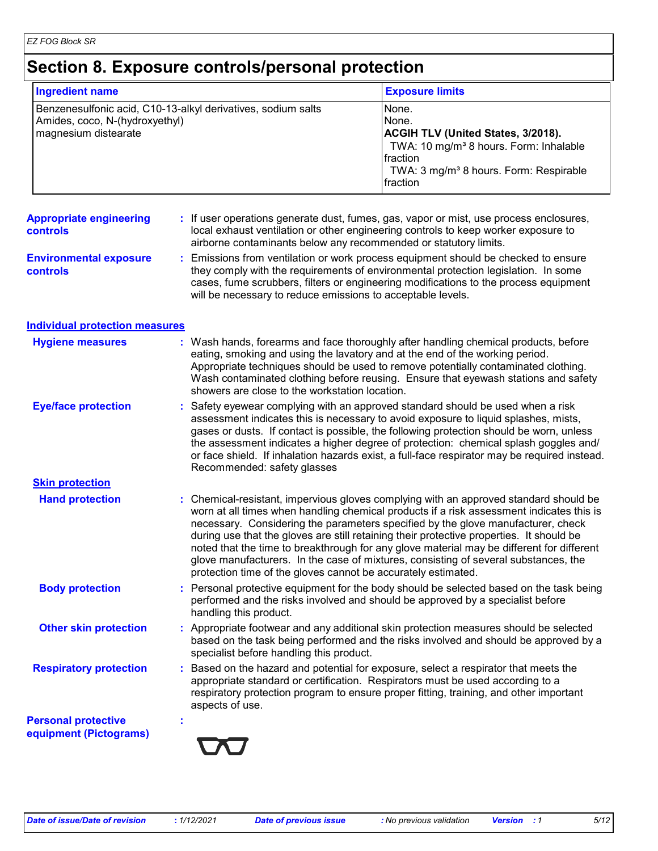### **Section 8. Exposure controls/personal protection**

| <b>Ingredient name</b>                                                                                                 | <b>Exposure limits</b>                                                                                                                                                                                          |
|------------------------------------------------------------------------------------------------------------------------|-----------------------------------------------------------------------------------------------------------------------------------------------------------------------------------------------------------------|
| Benzenesulfonic acid, C10-13-alkyl derivatives, sodium salts<br>Amides, coco, N-(hydroxyethyl)<br>magnesium distearate | None.<br>None.<br><b>ACGIH TLV (United States, 3/2018).</b><br>TWA: 10 mg/m <sup>3</sup> 8 hours. Form: Inhalable<br><b>Ifraction</b><br>TWA: 3 mg/m <sup>3</sup> 8 hours. Form: Respirable<br><b>Ifraction</b> |

#### **Appropriate engineering controls :** If user operations generate dust, fumes, gas, vapor or mist, use process enclosures, local exhaust ventilation or other engineering controls to keep worker exposure to airborne contaminants below any recommended or statutory limits.

**Environmental exposure controls :** Emissions from ventilation or work process equipment should be checked to ensure they comply with the requirements of environmental protection legislation. In some cases, fume scrubbers, filters or engineering modifications to the process equipment will be necessary to reduce emissions to acceptable levels.

### **Individual protection measures**

| <b>Hygiene measures</b>                              | : Wash hands, forearms and face thoroughly after handling chemical products, before<br>eating, smoking and using the lavatory and at the end of the working period.<br>Appropriate techniques should be used to remove potentially contaminated clothing.<br>Wash contaminated clothing before reusing. Ensure that eyewash stations and safety<br>showers are close to the workstation location.                                                                                                                                                                                                                      |
|------------------------------------------------------|------------------------------------------------------------------------------------------------------------------------------------------------------------------------------------------------------------------------------------------------------------------------------------------------------------------------------------------------------------------------------------------------------------------------------------------------------------------------------------------------------------------------------------------------------------------------------------------------------------------------|
| <b>Eye/face protection</b>                           | : Safety eyewear complying with an approved standard should be used when a risk<br>assessment indicates this is necessary to avoid exposure to liquid splashes, mists,<br>gases or dusts. If contact is possible, the following protection should be worn, unless<br>the assessment indicates a higher degree of protection: chemical splash goggles and/<br>or face shield. If inhalation hazards exist, a full-face respirator may be required instead.<br>Recommended: safety glasses                                                                                                                               |
| <b>Skin protection</b>                               |                                                                                                                                                                                                                                                                                                                                                                                                                                                                                                                                                                                                                        |
| <b>Hand protection</b>                               | : Chemical-resistant, impervious gloves complying with an approved standard should be<br>worn at all times when handling chemical products if a risk assessment indicates this is<br>necessary. Considering the parameters specified by the glove manufacturer, check<br>during use that the gloves are still retaining their protective properties. It should be<br>noted that the time to breakthrough for any glove material may be different for different<br>glove manufacturers. In the case of mixtures, consisting of several substances, the<br>protection time of the gloves cannot be accurately estimated. |
| <b>Body protection</b>                               | : Personal protective equipment for the body should be selected based on the task being<br>performed and the risks involved and should be approved by a specialist before<br>handling this product.                                                                                                                                                                                                                                                                                                                                                                                                                    |
| <b>Other skin protection</b>                         | : Appropriate footwear and any additional skin protection measures should be selected<br>based on the task being performed and the risks involved and should be approved by a<br>specialist before handling this product.                                                                                                                                                                                                                                                                                                                                                                                              |
| <b>Respiratory protection</b>                        | Based on the hazard and potential for exposure, select a respirator that meets the<br>÷.<br>appropriate standard or certification. Respirators must be used according to a<br>respiratory protection program to ensure proper fitting, training, and other important<br>aspects of use.                                                                                                                                                                                                                                                                                                                                |
| <b>Personal protective</b><br>equipment (Pictograms) |                                                                                                                                                                                                                                                                                                                                                                                                                                                                                                                                                                                                                        |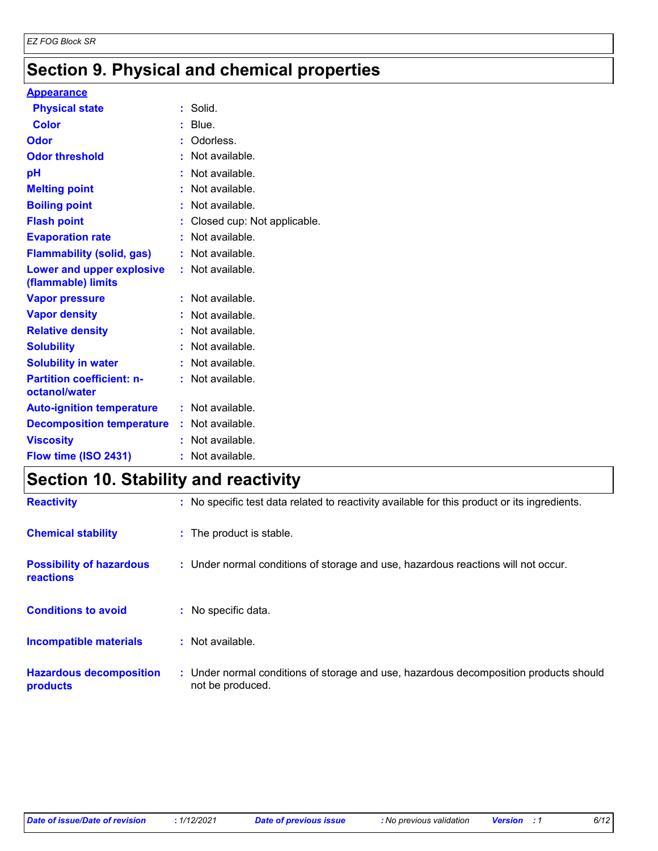### **Section 9. Physical and chemical properties**

#### **Appearance**

| <b>Physical state</b>                             | : Solid.                      |
|---------------------------------------------------|-------------------------------|
| <b>Color</b>                                      | $:$ Blue.                     |
| Odor                                              | : Odorless.                   |
| <b>Odor threshold</b>                             | : Not available.              |
| pH                                                | : Not available.              |
| <b>Melting point</b>                              | : Not available.              |
| <b>Boiling point</b>                              | : Not available.              |
| <b>Flash point</b>                                | : Closed cup: Not applicable. |
| <b>Evaporation rate</b>                           | : Not available.              |
| <b>Flammability (solid, gas)</b>                  | : Not available.              |
| Lower and upper explosive<br>(flammable) limits   | : Not available.              |
| <b>Vapor pressure</b>                             | : Not available.              |
| <b>Vapor density</b>                              | : Not available.              |
| <b>Relative density</b>                           | : Not available.              |
| <b>Solubility</b>                                 | : Not available.              |
| <b>Solubility in water</b>                        | : Not available.              |
| <b>Partition coefficient: n-</b><br>octanol/water | : Not available.              |
| <b>Auto-ignition temperature</b>                  | : Not available.              |
| <b>Decomposition temperature</b>                  | : Not available.              |
| <b>Viscosity</b>                                  | : Not available.              |
| Flow time (ISO 2431)                              | : Not available.              |

## **Section 10. Stability and reactivity**

| <b>Reactivity</b>                            | : No specific test data related to reactivity available for this product or its ingredients.              |
|----------------------------------------------|-----------------------------------------------------------------------------------------------------------|
| <b>Chemical stability</b>                    | : The product is stable.                                                                                  |
| <b>Possibility of hazardous</b><br>reactions | : Under normal conditions of storage and use, hazardous reactions will not occur.                         |
| <b>Conditions to avoid</b>                   | : No specific data.                                                                                       |
| Incompatible materials                       | $:$ Not available.                                                                                        |
| <b>Hazardous decomposition</b><br>products   | : Under normal conditions of storage and use, hazardous decomposition products should<br>not be produced. |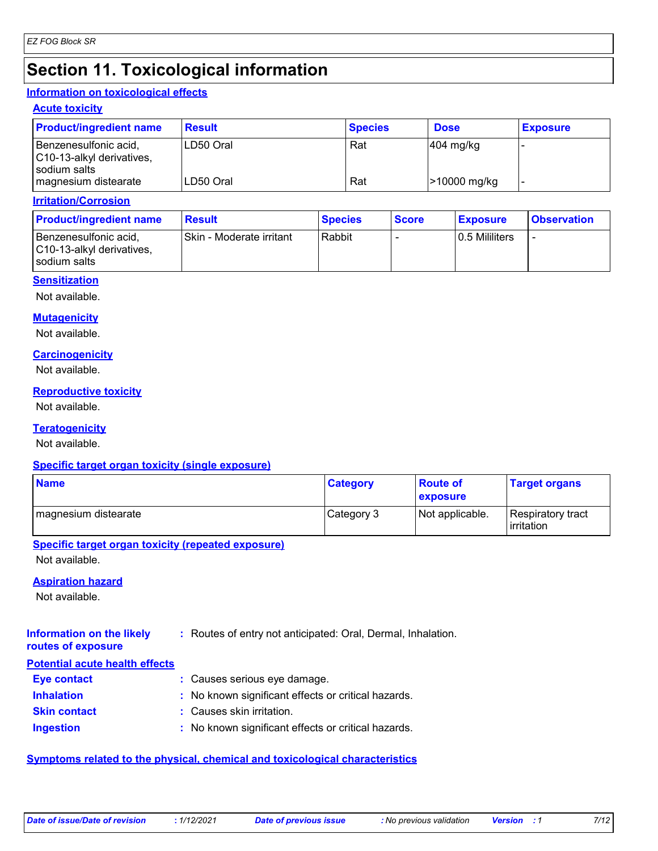### **Section 11. Toxicological information**

### **Information on toxicological effects**

#### **Acute toxicity**

| <b>Product/ingredient name</b>                     | <b>Result</b> | <b>Species</b> | <b>Dose</b>  | <b>Exposure</b> |
|----------------------------------------------------|---------------|----------------|--------------|-----------------|
| Benzenesulfonic acid,<br>C10-13-alkyl derivatives, | LD50 Oral     | Rat            | $404$ mg/kg  |                 |
| sodium salts<br>magnesium distearate               | LD50 Oral     | Rat            | >10000 mg/kg |                 |

#### **Irritation/Corrosion**

| <b>Product/ingredient name</b>                                     | <b>Result</b>            | <b>Species</b> | <b>Score</b> | <u>Exposure</u> | <b>Observation</b>       |
|--------------------------------------------------------------------|--------------------------|----------------|--------------|-----------------|--------------------------|
| Benzenesulfonic acid,<br>C10-13-alkyl derivatives,<br>sodium salts | Skin - Moderate irritant | Rabbit         |              | 0.5 Mililiters  | $\overline{\phantom{a}}$ |

#### **Sensitization**

Not available.

### **Mutagenicity**

Not available.

#### **Carcinogenicity**

Not available.

#### **Reproductive toxicity**

Not available.

### **Teratogenicity**

Not available.

### **Specific target organ toxicity (single exposure)**

| <b>Name</b>          | <b>Category</b> | <b>Route of</b><br>exposure | <b>Target organs</b>              |
|----------------------|-----------------|-----------------------------|-----------------------------------|
| magnesium distearate | Category 3      | Not applicable.             | Respiratory tract<br>l irritation |

### **Specific target organ toxicity (repeated exposure)**

Not available.

### **Aspiration hazard**

Not available.

#### **Information on the likely routes of exposure :** Routes of entry not anticipated: Oral, Dermal, Inhalation.

### **Potential acute health effects**

| <b>Eye contact</b>  | : Causes serious eye damage.                        |
|---------------------|-----------------------------------------------------|
| <b>Inhalation</b>   | : No known significant effects or critical hazards. |
| <b>Skin contact</b> | : Causes skin irritation.                           |
| <b>Ingestion</b>    | : No known significant effects or critical hazards. |

### **Symptoms related to the physical, chemical and toxicological characteristics**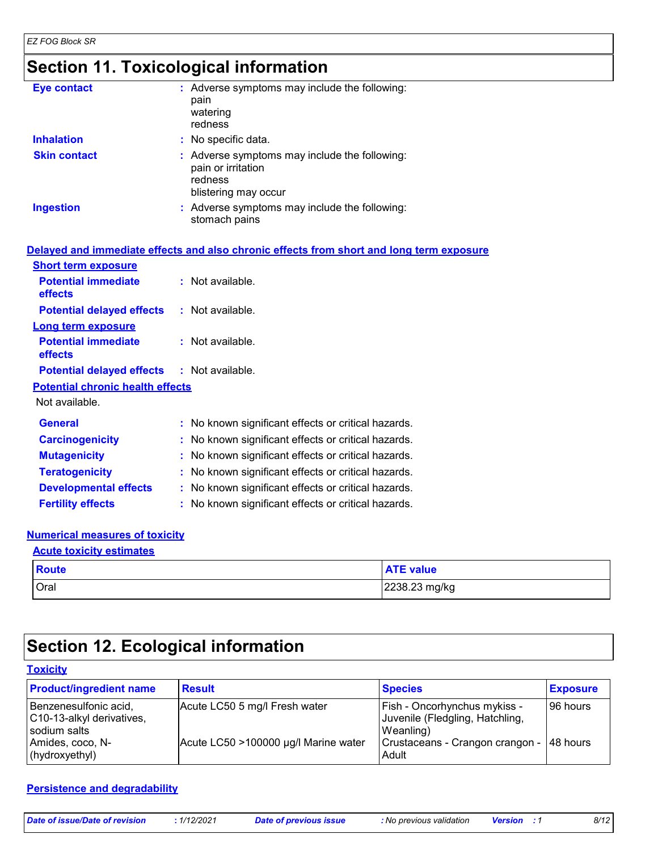### **Section 11. Toxicological information**

| <b>Eye contact</b>  | : Adverse symptoms may include the following:<br>pain<br>watering<br>redness                           |
|---------------------|--------------------------------------------------------------------------------------------------------|
| <b>Inhalation</b>   | : No specific data.                                                                                    |
| <b>Skin contact</b> | : Adverse symptoms may include the following:<br>pain or irritation<br>redness<br>blistering may occur |
| <b>Ingestion</b>    | : Adverse symptoms may include the following:<br>stomach pains                                         |

|                                                   | Delayed and immediate effects and also chronic effects from short and long term exposure |
|---------------------------------------------------|------------------------------------------------------------------------------------------|
|                                                   |                                                                                          |
| <b>Short term exposure</b>                        |                                                                                          |
| <b>Potential immediate</b><br>effects             | $:$ Not available.                                                                       |
| <b>Potential delayed effects : Not available.</b> |                                                                                          |
| <b>Long term exposure</b>                         |                                                                                          |
| <b>Potential immediate</b><br><b>effects</b>      | $:$ Not available.                                                                       |
| <b>Potential delayed effects : Not available.</b> |                                                                                          |
| <b>Potential chronic health effects</b>           |                                                                                          |
| Not available.                                    |                                                                                          |
| <b>General</b>                                    | : No known significant effects or critical hazards.                                      |
| <b>Carcinogenicity</b>                            | : No known significant effects or critical hazards.                                      |
| <b>Mutagenicity</b>                               | : No known significant effects or critical hazards.                                      |
| <b>Teratogenicity</b>                             | : No known significant effects or critical hazards.                                      |
| <b>Developmental effects</b>                      | : No known significant effects or critical hazards.                                      |
| <b>Fertility effects</b>                          | : No known significant effects or critical hazards.                                      |

### **Numerical measures of toxicity**

### Oral 2238.23 mg/kg **Route ATE** value **Acute toxicity estimates**

### **Section 12. Ecological information**

| <b>Toxicity</b>                                                    |                                      |                                                                              |                 |
|--------------------------------------------------------------------|--------------------------------------|------------------------------------------------------------------------------|-----------------|
| <b>Product/ingredient name</b>                                     | <b>Result</b>                        | <b>Species</b>                                                               | <b>Exposure</b> |
| Benzenesulfonic acid,<br>C10-13-alkyl derivatives,<br>sodium salts | Acute LC50 5 mg/l Fresh water        | Fish - Oncorhynchus mykiss -<br>Juvenile (Fledgling, Hatchling,<br>Weanling) | 96 hours        |
| Amides, coco, N-<br>(hydroxyethyl)                                 | Acute LC50 >100000 µg/l Marine water | Crustaceans - Crangon crangon -<br>Adult                                     | 148 hours       |

#### **Persistence and degradability**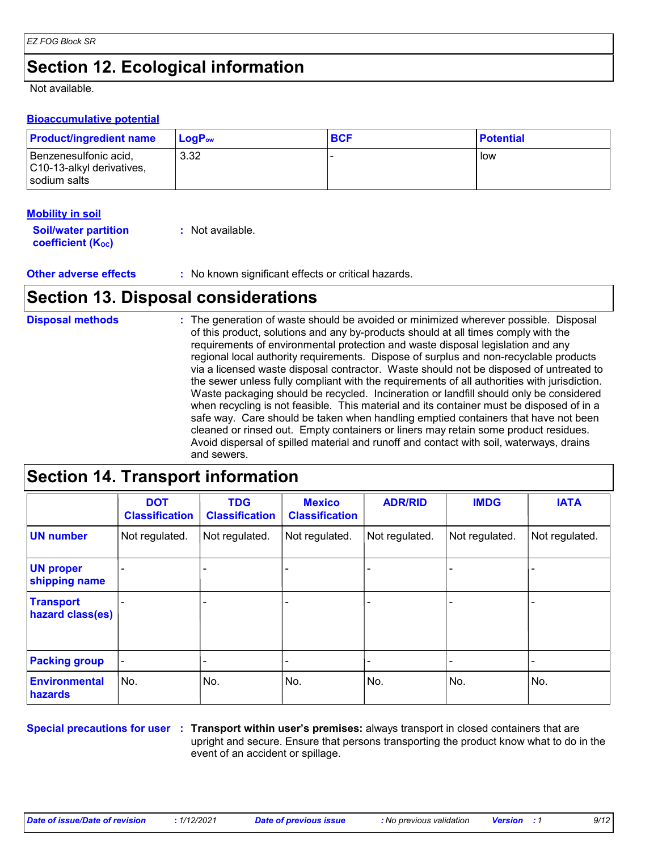### **Section 12. Ecological information**

Not available.

### **Bioaccumulative potential**

| <b>Product/ingredient name</b>                                       | <b>LogP</b> <sub>ow</sub> | <b>BCF</b> | <b>Potential</b> |
|----------------------------------------------------------------------|---------------------------|------------|------------------|
| Benzenesulfonic acid,<br>C10-13-alkyl derivatives,<br>l sodium salts | 3.32                      |            | low              |

### **Mobility in soil**

| <b>Soil/water partition</b> | : Not available. |
|-----------------------------|------------------|
| <b>coefficient (Koc)</b>    |                  |

**Other adverse effects** : No known significant effects or critical hazards.

### **Section 13. Disposal considerations**

#### The generation of waste should be avoided or minimized wherever possible. Disposal of this product, solutions and any by-products should at all times comply with the requirements of environmental protection and waste disposal legislation and any regional local authority requirements. Dispose of surplus and non-recyclable products via a licensed waste disposal contractor. Waste should not be disposed of untreated to the sewer unless fully compliant with the requirements of all authorities with jurisdiction. Waste packaging should be recycled. Incineration or landfill should only be considered when recycling is not feasible. This material and its container must be disposed of in a safe way. Care should be taken when handling emptied containers that have not been cleaned or rinsed out. Empty containers or liners may retain some product residues. Avoid dispersal of spilled material and runoff and contact with soil, waterways, drains and sewers. **Disposal methods :**

### **Section 14. Transport information**

|                                      | <b>DOT</b><br><b>Classification</b> | <b>TDG</b><br><b>Classification</b> | <b>Mexico</b><br><b>Classification</b> | <b>ADR/RID</b> | <b>IMDG</b>    | <b>IATA</b>    |
|--------------------------------------|-------------------------------------|-------------------------------------|----------------------------------------|----------------|----------------|----------------|
| <b>UN number</b>                     | Not regulated.                      | Not regulated.                      | Not regulated.                         | Not regulated. | Not regulated. | Not regulated. |
| <b>UN proper</b><br>shipping name    | $\blacksquare$                      | $\blacksquare$                      |                                        |                |                |                |
| <b>Transport</b><br>hazard class(es) |                                     |                                     | $\qquad \qquad \blacksquare$           |                |                |                |
| <b>Packing group</b>                 | $\blacksquare$                      |                                     |                                        |                |                |                |
| <b>Environmental</b><br>hazards      | No.                                 | No.                                 | No.                                    | No.            | No.            | No.            |

**Special precautions for user** : Transport within user's premises: always transport in closed containers that are upright and secure. Ensure that persons transporting the product know what to do in the event of an accident or spillage.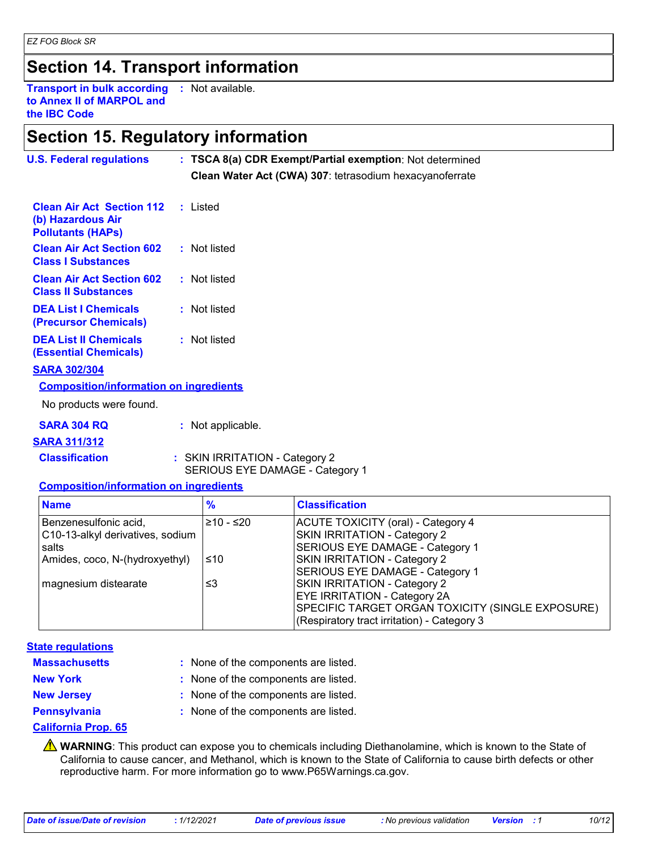### **Section 14. Transport information**

**Transport in bulk according :** Not available. **to Annex II of MARPOL and the IBC Code**

### **Section 15. Regulatory information**

| <b>U.S. Federal regulations</b>                                                   | : TSCA 8(a) CDR Exempt/Partial exemption: Not determined<br>Clean Water Act (CWA) 307: tetrasodium hexacyanoferrate |  |
|-----------------------------------------------------------------------------------|---------------------------------------------------------------------------------------------------------------------|--|
| <b>Clean Air Act Section 112</b><br>(b) Hazardous Air<br><b>Pollutants (HAPS)</b> | : Listed                                                                                                            |  |
| <b>Clean Air Act Section 602</b><br><b>Class I Substances</b>                     | : Not listed                                                                                                        |  |
| <b>Clean Air Act Section 602</b><br><b>Class II Substances</b>                    | : Not listed                                                                                                        |  |
| <b>DEA List I Chemicals</b><br>(Precursor Chemicals)                              | : Not listed                                                                                                        |  |
| <b>DEA List II Chemicals</b><br><b>(Essential Chemicals)</b>                      | : Not listed                                                                                                        |  |
| <b>SARA 302/304</b>                                                               |                                                                                                                     |  |
| <b>Composition/information on ingredients</b>                                     |                                                                                                                     |  |
| No products were found.                                                           |                                                                                                                     |  |
| <b>SARA 304 RQ</b>                                                                | : Not applicable.                                                                                                   |  |
| <b>SARA 311/312</b>                                                               |                                                                                                                     |  |
| <b>Classification</b>                                                             | : SKIN IRRITATION - Category 2<br>SERIOUS EYE DAMAGE - Category 1                                                   |  |

### **Composition/information on ingredients**

| <b>Name</b>                                                        | $\frac{9}{6}$ | <b>Classification</b>                                                                                                                                                  |
|--------------------------------------------------------------------|---------------|------------------------------------------------------------------------------------------------------------------------------------------------------------------------|
| Benzenesulfonic acid,<br>C10-13-alkyl derivatives, sodium<br>salts | $≥10 - ≤20$   | <b>ACUTE TOXICITY (oral) - Category 4</b><br>SKIN IRRITATION - Category 2<br>SERIOUS EYE DAMAGE - Category 1                                                           |
| Amides, coco, N-(hydroxyethyl)                                     | ≤10           | SKIN IRRITATION - Category 2<br>SERIOUS EYE DAMAGE - Category 1                                                                                                        |
| magnesium distearate                                               | ≤3            | SKIN IRRITATION - Category 2<br><b>EYE IRRITATION - Category 2A</b><br>SPECIFIC TARGET ORGAN TOXICITY (SINGLE EXPOSURE)<br>(Respiratory tract irritation) - Category 3 |

### **State regulations**

| <b>Massachusetts</b> |  |
|----------------------|--|
|----------------------|--|

- **New York :** None of the components are listed.
	-
- None of the components are listed. **:**
- -
- **New Jersey :** None of the components are listed.
- 
- **Pennsylvania :** None of the components are listed.

### **California Prop. 65**

**A** WARNING: This product can expose you to chemicals including Diethanolamine, which is known to the State of California to cause cancer, and Methanol, which is known to the State of California to cause birth defects or other reproductive harm. For more information go to www.P65Warnings.ca.gov.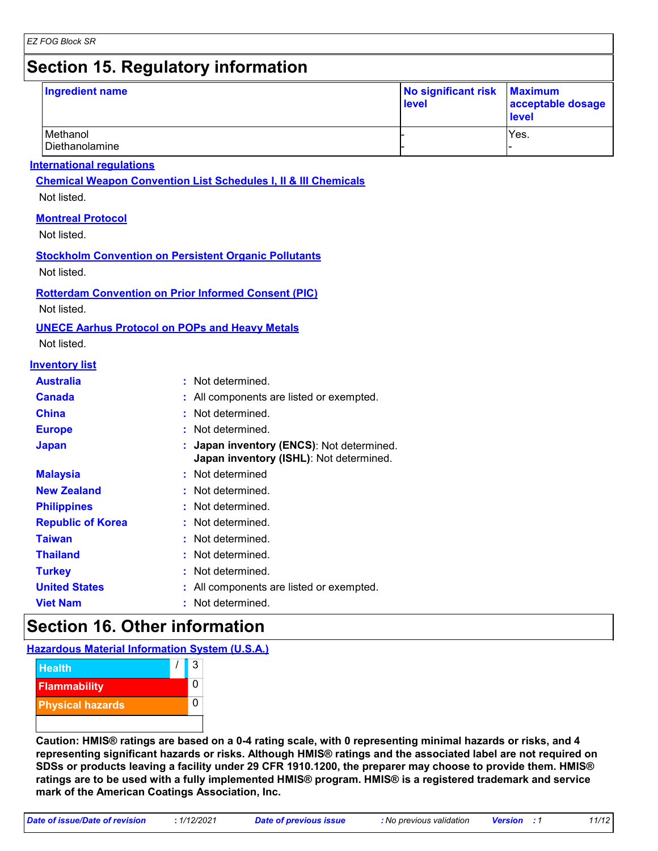### **Section 15. Regulatory information**

| Ingredient name            | No significant risk Maximum<br>acceptable dosage<br>level |      |
|----------------------------|-----------------------------------------------------------|------|
| Methanol<br>Diethanolamine |                                                           | Yes. |

### **International regulations**

**Chemical Weapon Convention List Schedules I, II & III Chemicals**

Not listed.

### **Montreal Protocol**

Not listed.

### **Stockholm Convention on Persistent Organic Pollutants**

Not listed.

### **Rotterdam Convention on Prior Informed Consent (PIC)**

Not listed.

### **UNECE Aarhus Protocol on POPs and Heavy Metals**

Not listed.

### **Inventory list**

| <b>Australia</b>         | : Not determined.                                                                    |
|--------------------------|--------------------------------------------------------------------------------------|
| <b>Canada</b>            | : All components are listed or exempted.                                             |
| <b>China</b>             | : Not determined.                                                                    |
| <b>Europe</b>            | : Not determined.                                                                    |
| <b>Japan</b>             | : Japan inventory (ENCS): Not determined.<br>Japan inventory (ISHL): Not determined. |
| <b>Malaysia</b>          | : Not determined                                                                     |
| <b>New Zealand</b>       | : Not determined.                                                                    |
| <b>Philippines</b>       | : Not determined.                                                                    |
| <b>Republic of Korea</b> | : Not determined.                                                                    |
| <b>Taiwan</b>            | : Not determined.                                                                    |
| <b>Thailand</b>          | : Not determined.                                                                    |
| <b>Turkey</b>            | : Not determined.                                                                    |
| <b>United States</b>     | All components are listed or exempted.                                               |
| <b>Viet Nam</b>          | Not determined.                                                                      |

### **Section 16. Other information**

### **Hazardous Material Information System (U.S.A.)**



**Caution: HMIS® ratings are based on a 0-4 rating scale, with 0 representing minimal hazards or risks, and 4 representing significant hazards or risks. Although HMIS® ratings and the associated label are not required on SDSs or products leaving a facility under 29 CFR 1910.1200, the preparer may choose to provide them. HMIS® ratings are to be used with a fully implemented HMIS® program. HMIS® is a registered trademark and service mark of the American Coatings Association, Inc.**

*Date of issue/Date of revision* **:** *1/12/2021 Date of previous issue : No previous validation Version : 1 11/12*